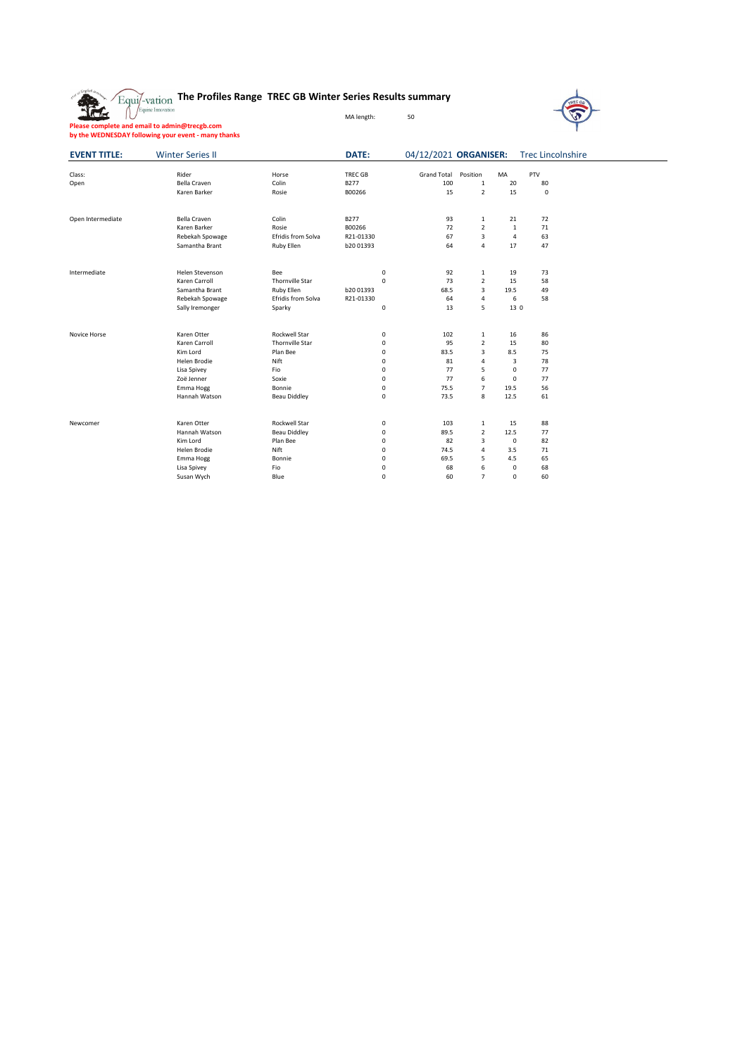|  | <b>Equil-vation The Profiles Range TREC GB Winter Series Results summary</b> |  |  |
|--|------------------------------------------------------------------------------|--|--|
|  |                                                                              |  |  |



**Please complete and email to admin@trecgb.com by the WEDNESDAY following your event - many thanks**

4

| <b>EVENT TITLE:</b> | <b>Winter Series II</b> |                        | DATE:          | 04/12/2021 ORGANISER: Trec Lincolnshire |                |              |             |  |
|---------------------|-------------------------|------------------------|----------------|-----------------------------------------|----------------|--------------|-------------|--|
| Class:              | Rider                   | Horse                  | <b>TREC GB</b> | <b>Grand Total</b>                      | Position       | MA           | PTV         |  |
| Open                | Bella Craven            | Colin                  | B277           | 100                                     | $\mathbf 1$    | 20           | 80          |  |
|                     | Karen Barker            | Rosie                  | B00266         | 15                                      | $\overline{2}$ | 15           | $\mathbf 0$ |  |
| Open Intermediate   | Bella Craven            | Colin                  | <b>B277</b>    | 93                                      | $\,1\,$        | 21           | 72          |  |
|                     | Karen Barker            | Rosie                  | B00266         | 72                                      | $\overline{2}$ | $\mathbf{1}$ | 71          |  |
|                     | Rebekah Spowage         | Efridis from Solva     | R21-01330      | 67                                      | 3              | 4            | 63          |  |
|                     | Samantha Brant          | Ruby Ellen             | b20 01393      | 64                                      | $\overline{4}$ | 17           | 47          |  |
| Intermediate        | Helen Stevenson         | Bee                    | $\mathsf 0$    | 92                                      | $\mathbf{1}$   | 19           | 73          |  |
|                     | Karen Carroll           | <b>Thornville Star</b> | $\mathbf 0$    | 73                                      | $\overline{2}$ | 15           | 58          |  |
|                     | Samantha Brant          | Ruby Ellen             | b2001393       | 68.5                                    | 3              | 19.5         | 49          |  |
|                     | Rebekah Spowage         | Efridis from Solva     | R21-01330      | 64                                      | $\overline{4}$ | 6            | 58          |  |
|                     | Sally Iremonger         | Sparky                 | $\mathbf 0$    | 13                                      | 5              | 13 0         |             |  |
| Novice Horse        | Karen Otter             | Rockwell Star          | 0              | 102                                     | $\mathbf{1}$   | 16           | 86          |  |
|                     | Karen Carroll           | <b>Thornville Star</b> | $\mathbf 0$    | 95                                      | $\overline{2}$ | 15           | 80          |  |
|                     | Kim Lord                | Plan Bee               | $\mathbf 0$    | 83.5                                    | 3              | 8.5          | 75          |  |
|                     | Helen Brodie            | Nift                   | $\mathbf 0$    | 81                                      | $\overline{4}$ | 3            | 78          |  |
|                     | Lisa Spivey             | Fio                    | 0              | 77                                      | 5              | $\mathbf 0$  | 77          |  |
|                     | Zoë Jenner              | Soxie                  | 0              | 77                                      | 6              | $\mathbf 0$  | 77          |  |
|                     | Emma Hogg               | Bonnie                 | 0              | 75.5                                    | $\overline{7}$ | 19.5         | 56          |  |
|                     | Hannah Watson           | <b>Beau Diddley</b>    | 0              | 73.5                                    | 8              | 12.5         | 61          |  |
| Newcomer            | Karen Otter             | Rockwell Star          | 0              | 103                                     | $\mathbf{1}$   | 15           | 88          |  |
|                     | Hannah Watson           | <b>Beau Diddley</b>    | $\mathbf 0$    | 89.5                                    | $\overline{2}$ | 12.5         | 77          |  |
|                     | Kim Lord                | Plan Bee               | $\mathbf 0$    | 82                                      | 3              | $\mathbf 0$  | 82          |  |
|                     | Helen Brodie            | Nift                   | $\mathbf 0$    | 74.5                                    | $\overline{4}$ | 3.5          | 71          |  |
|                     | Emma Hogg               | Bonnie                 | 0              | 69.5                                    | 5              | 4.5          | 65          |  |
|                     | Lisa Spivey             | Fio                    | 0              | 68                                      | 6              | $\mathbf 0$  | 68          |  |
|                     | Susan Wych              | Blue                   | $\Omega$       | 60                                      | $\overline{7}$ | $\Omega$     | 60          |  |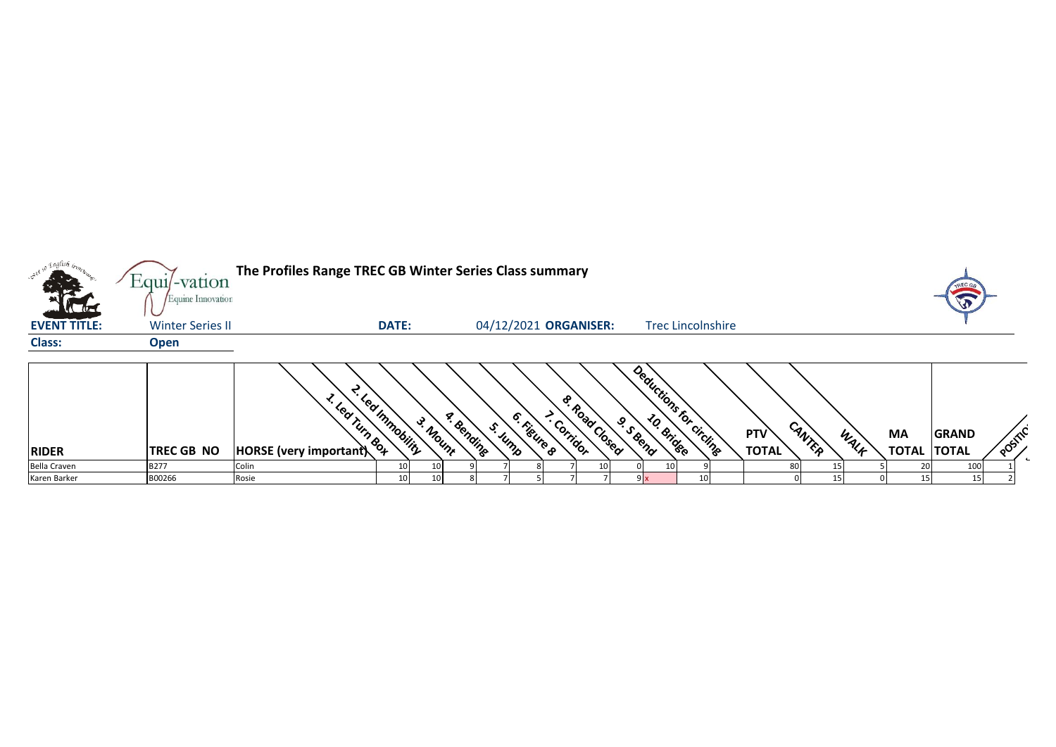|                     | $Equi$ -vation<br>Equine Innovation | The Profiles Range TREC GB Winter Series Class summary      |                |                 |                       |                       |          |                          |                                      |                          |    |                     |        |      |                           |                              |         |
|---------------------|-------------------------------------|-------------------------------------------------------------|----------------|-----------------|-----------------------|-----------------------|----------|--------------------------|--------------------------------------|--------------------------|----|---------------------|--------|------|---------------------------|------------------------------|---------|
| <b>EVENT TITLE:</b> | <b>Winter Series II</b>             |                                                             | <b>DATE:</b>   |                 |                       | 04/12/2021 ORGANISER: |          |                          |                                      | <b>Trec Lincolnshire</b> |    |                     |        |      |                           |                              |         |
| <b>Class:</b>       | <b>Open</b>                         |                                                             |                |                 |                       |                       |          |                          |                                      |                          |    |                     |        |      |                           |                              |         |
| <b>RIDER</b>        | <b>TREC GB NO</b>                   | <sup>L. Le</sup> d Tum Box<br><b>HORSE</b> (very important) | Led Immobility | 3. Mount        | a. Bending<br>S. Jump | 6. Kigure 8           | Corridor | <b>&amp; Road Closed</b> | Deductions for circling<br>9. S Bend |                          |    | PTV<br><b>TOTAL</b> | CANTER | WALF | <b>MA</b><br><b>TOTAL</b> | <b>GRAND</b><br><b>TOTAL</b> | POSITIL |
| <b>Bella Craven</b> | B277                                | Colin                                                       |                |                 |                       |                       |          |                          |                                      |                          |    |                     | 80     |      | 20                        | 100                          |         |
| Karen Barker        | B00266                              | Rosie                                                       | 10             | 10 <sub>l</sub> |                       |                       |          |                          | 9x                                   |                          | 10 |                     |        | 15   | 15 <sup>1</sup>           |                              |         |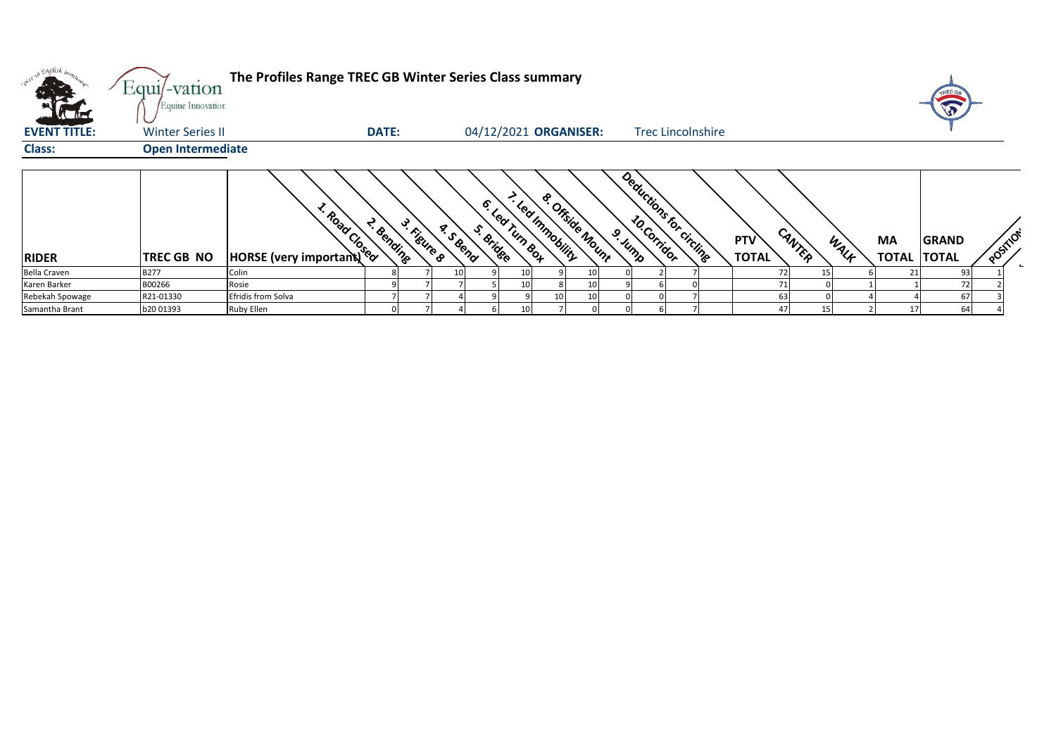| k kal               | Equi/-vation<br>Equine Innovation | The Profiles Range TREC GB Winter Series Class summary                                                                                                                                                                         |                           |                  |           |                                 |                           |                          |                     |        |      |                                 |              |          |
|---------------------|-----------------------------------|--------------------------------------------------------------------------------------------------------------------------------------------------------------------------------------------------------------------------------|---------------------------|------------------|-----------|---------------------------------|---------------------------|--------------------------|---------------------|--------|------|---------------------------------|--------------|----------|
| <b>EVENT TITLE:</b> | <b>Winter Series II</b>           |                                                                                                                                                                                                                                | <b>DATE:</b>              |                  |           | 04/12/2021 ORGANISER:           |                           | <b>Trec Lincolnshire</b> |                     |        |      |                                 |              |          |
| <b>Class:</b>       | <b>Open Intermediate</b>          |                                                                                                                                                                                                                                |                           |                  |           |                                 |                           |                          |                     |        |      |                                 |              |          |
| <b>RIDER</b>        | TREC GB NO                        | Road Control Control Control Control Control Control Control Control Control Control Control Control Control Control Control Control Control Control Control Control Control Control Control Control Control Control Control C | 3. Figure 8<br>T. Bending | <b>A. S.Bend</b> | S. Bridge | - Learnmaning<br>6. lea run sou | & Orside Mount<br>9. Junp | Deductions for circlings | PTV<br><b>TOTAL</b> | CANTER | WALK | <b>MA</b><br><b>TOTAL TOTAL</b> | <b>GRAND</b> | POSITION |
| Bella Craven        | B277                              | Colin                                                                                                                                                                                                                          |                           |                  |           |                                 |                           |                          | 72                  |        |      | 21                              | 93           |          |
| Karen Barker        | B00266                            | Rosie                                                                                                                                                                                                                          |                           |                  |           |                                 | 10                        |                          | 71                  |        |      |                                 | 72           |          |
| Rebekah Spowage     | R21-01330                         | Efridis from Solva                                                                                                                                                                                                             |                           |                  |           |                                 |                           |                          | 63                  |        |      |                                 | 67           |          |
| Samantha Brant      | b20 01393                         | Ruby Ellen                                                                                                                                                                                                                     |                           |                  |           |                                 |                           |                          | 47                  |        |      |                                 | 64           |          |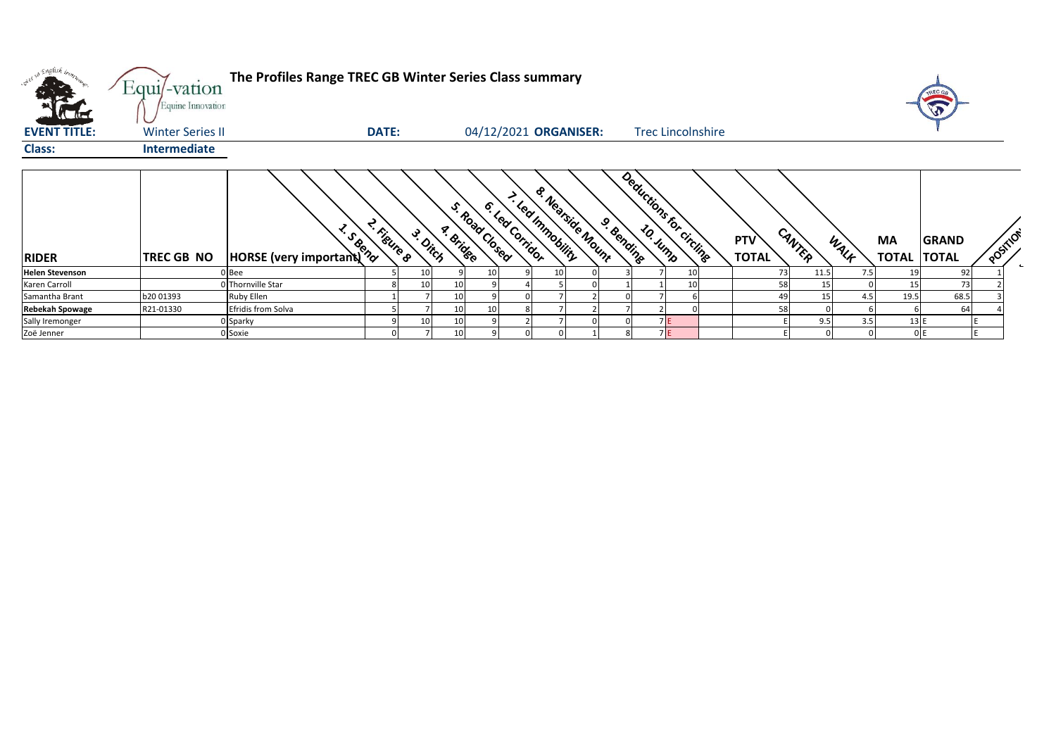| over so English bronz  | Equi/-vation<br>Equine Innovation | The Profiles Range TREC GB Winter Series Class summary |              |          |           |               |                  |                                              |            |                         |                          |                     |        |      |                                 | TREC G<br>W |          |
|------------------------|-----------------------------------|--------------------------------------------------------|--------------|----------|-----------|---------------|------------------|----------------------------------------------|------------|-------------------------|--------------------------|---------------------|--------|------|---------------------------------|-------------|----------|
| <b>EVENT TITLE:</b>    | <b>Winter Series II</b>           |                                                        | <b>DATE:</b> |          |           |               |                  | 04/12/2021 ORGANISER:                        |            |                         | <b>Trec Lincolnshire</b> |                     |        |      |                                 |             |          |
| <b>Class:</b>          | Intermediate                      |                                                        |              |          |           |               |                  |                                              |            |                         |                          |                     |        |      |                                 |             |          |
| <b>RIDER</b>           | <b>TREC GB NO</b>                 | <b>HORSE</b> (very important)                          | 2. Figure 8  | 3. Ditch | a. Bridge | S. Road Cosed | 6. Leaf Corridor | <b>&amp; Nearside Mount</b><br>- Learnmaning | 9. Bending | Deductions for circling |                          | PTV<br><b>TOTAL</b> | CANTER | WALK | <b>MA</b><br><b>TOTAL TOTAL</b> | GRAND       | POSITION |
| <b>Helen Stevenson</b> |                                   | 0 Bee                                                  |              | 10       |           |               |                  |                                              |            |                         | 10                       | 73                  | 11.5   |      |                                 | 92          |          |
| Karen Carroll          |                                   | 0 Thornville Star                                      | 8            | 10       | 10        |               |                  |                                              |            |                         | 10                       | 58                  | 15     |      | 15                              | 73          |          |
| Samantha Brant         | b20 01393                         | Ruby Ellen                                             |              |          |           |               |                  |                                              |            |                         |                          | 49                  |        | 4.5  | 19.5                            | 68.5        |          |
| <b>Rebekah Spowage</b> | R21-01330                         | Efridis from Solva                                     |              |          | 10        |               |                  |                                              |            |                         |                          | 58                  |        |      |                                 | 64          |          |
| Sally Iremonger        |                                   | 0 Sparky                                               |              | 10       | 10        |               |                  |                                              |            |                         | 7 E                      |                     | 9.5    | 3.5  | 13E                             |             |          |
| Zoë Jenner             |                                   | 0 Soxie                                                |              |          | 10        |               |                  |                                              |            |                         | 7 E                      |                     |        |      |                                 | 0E          |          |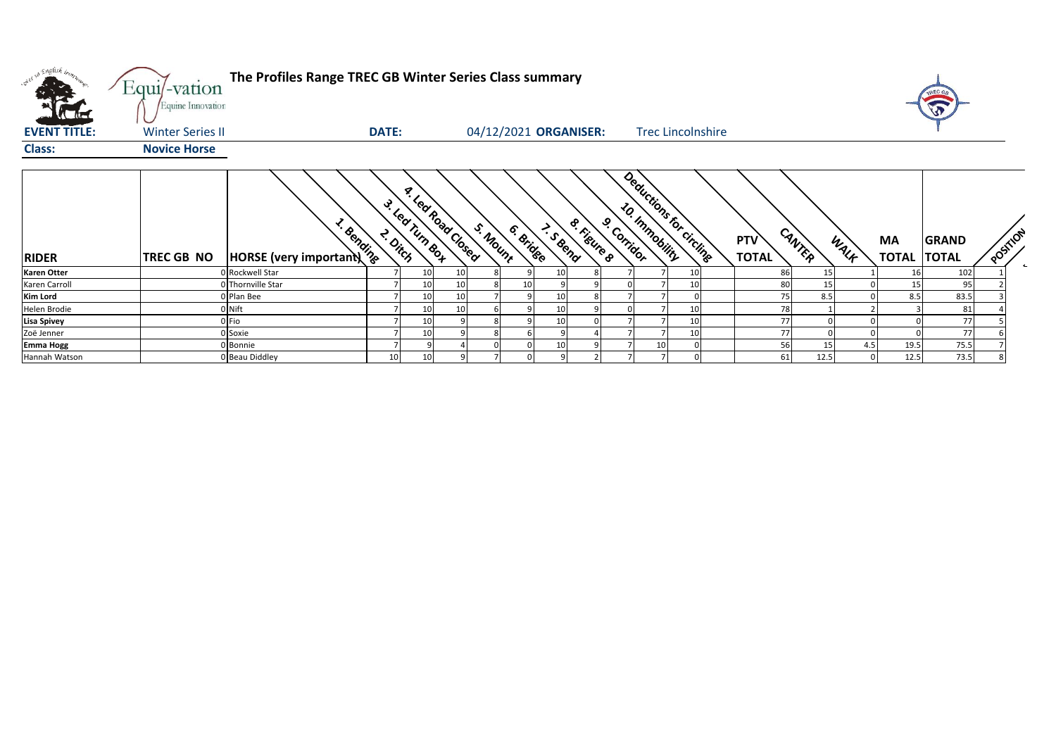| over so English bones. | Equi/-vation<br>Equine Innovation | The Profiles Range TREC GB Winter Series Class summary |       |                                              |    |          |           |                       |                       |             |                       |                          |                            |                 |      |                          | A            |          |              |
|------------------------|-----------------------------------|--------------------------------------------------------|-------|----------------------------------------------|----|----------|-----------|-----------------------|-----------------------|-------------|-----------------------|--------------------------|----------------------------|-----------------|------|--------------------------|--------------|----------|--------------|
| <b>EVENT TITLE:</b>    | <b>Winter Series II</b>           |                                                        | DATE: |                                              |    |          |           | 04/12/2021 ORGANISER: |                       |             |                       | <b>Trec Lincolnshire</b> |                            |                 |      |                          |              |          |              |
| <b>Class:</b>          | <b>Novice Horse</b>               |                                                        |       |                                              |    |          |           |                       |                       |             |                       |                          |                            |                 |      |                          |              |          |              |
| <b>RIDER</b>           | TREC GB NO                        | <b>Process</b><br>HORSE (very important)               |       | <b>A. Led Road Closed</b><br>3. Learning Box |    | S. Mount | 6. Bridge | I. S &end             | <b>&amp; Rigure</b> 8 | 9. Corridor | <b>20. Immobility</b> | Deductions for circulate | <b>PTV</b><br><b>TOTAL</b> | CANTER          | WALK | MA<br><b>TOTAL TOTAL</b> | <b>GRAND</b> | POSITION | $\leftarrow$ |
| <b>Karen Otter</b>     |                                   | 0 Rockwell Star                                        |       | 10                                           |    |          |           | 10                    |                       |             |                       | 10                       | 86                         | 15 <sup>1</sup> |      | 16                       | 102          |          |              |
| Karen Carroll          |                                   | 0 Thornville Star                                      |       |                                              |    |          |           |                       |                       |             |                       | 10                       | 80                         | 15 <sub>l</sub> |      |                          | 95           |          |              |
| <b>Kim Lord</b>        |                                   | 0 Plan Bee                                             |       | 10                                           |    |          |           | 10                    |                       |             |                       |                          | 75                         | 8.5             |      | 8.5                      | 83.5         |          |              |
| Helen Brodie           |                                   | 0 Nift                                                 |       | 10                                           | 10 |          |           | 10                    |                       |             |                       | 10                       | 78                         |                 |      |                          | 81           |          |              |
| <b>Lisa Spivey</b>     |                                   | 0 Fio                                                  |       | 10                                           |    |          |           | 10                    |                       |             |                       | 10                       | 77                         |                 |      |                          | 77           |          |              |
| Zoë Jenner             |                                   | 0 Soxie                                                |       | 10                                           |    |          |           |                       |                       |             |                       | 10                       | 77                         |                 |      |                          | 77           |          |              |
| <b>Emma Hogg</b>       |                                   | 0 Bonnie                                               |       |                                              |    |          |           | 10                    |                       |             | 10                    |                          | 56                         | 15              | 4.5  | 19.5                     | 75.5         |          |              |
| Hannah Watson          |                                   | 0 Beau Diddley                                         | 10    |                                              |    |          |           |                       |                       |             |                       |                          | 61                         | 12.5            |      | 12.5                     | 73.5         |          |              |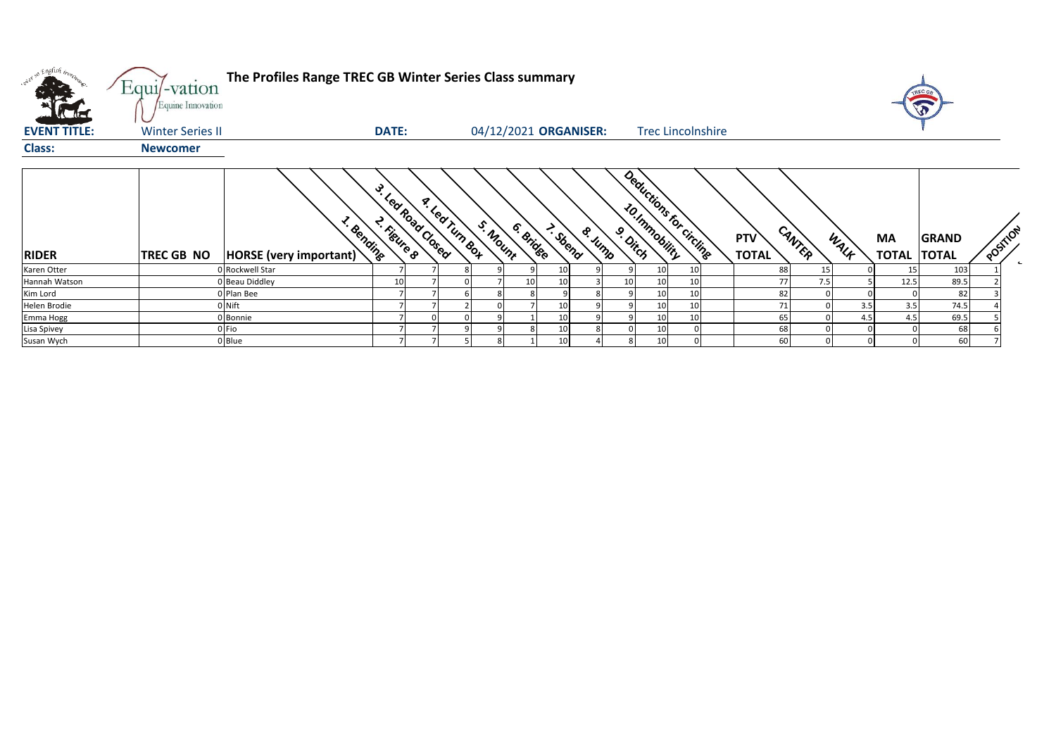| viet so English bronz | $Equi$ -vation<br>Equine Innovation | The Profiles Range TREC GB Winter Series Class summary |                                   |                           |                       |        |          |                          |                            |        |                   |                                    |      |                          |
|-----------------------|-------------------------------------|--------------------------------------------------------|-----------------------------------|---------------------------|-----------------------|--------|----------|--------------------------|----------------------------|--------|-------------------|------------------------------------|------|--------------------------|
| <b>EVENT TITLE:</b>   | <b>Winter Series II</b>             |                                                        | <b>DATE:</b>                      |                           | 04/12/2021 ORGANISER: |        |          | <b>Trec Lincolnshire</b> |                            |        |                   |                                    |      |                          |
| <b>Class:</b>         | <b>Newcomer</b>                     |                                                        |                                   |                           |                       |        |          |                          |                            |        |                   |                                    |      |                          |
| <b>RIDER</b>          | TREC GB NO                          | <b>x</b> Bending<br>HORSE (very important)             | 3. Learnoad Closed<br>2. Figure 8 | a Leating Bot<br>S. Mount | 6. Bridge<br>2- Sbend | & Jump | 9. Ditch | Deductions for circlinge | <b>PTV</b><br><b>TOTAL</b> | CANTER | WALF<br><b>MA</b> | <b>GRAND</b><br><b>TOTAL TOTAL</b> |      | POSITION<br>$\leftarrow$ |
| Karen Otter           |                                     | Rockwell Star                                          |                                   |                           |                       |        |          | 10<br>10                 | 88                         | 15     |                   | 15                                 | 103  |                          |
| Hannah Watson         |                                     | <b>Beau Diddley</b>                                    | 1(                                |                           | 10                    |        |          | 10<br>10                 |                            |        |                   | 12.5                               | 89.5 |                          |
| Kim Lord              |                                     | 0 Plan Bee                                             |                                   |                           |                       |        |          | 10 <sup>1</sup><br>10    | 82                         |        |                   |                                    | 82   |                          |
| Helen Brodie          |                                     | 0 Nift                                                 |                                   |                           | 10                    |        |          | 10 <sup>1</sup><br>10    |                            |        | 3.5               | 3.5                                | 74.5 |                          |
| Emma Hogg             |                                     | Bonnie                                                 |                                   |                           | 10                    |        |          | 10<br>10                 | 65                         |        | 4.5               | 4.5                                | 69.5 |                          |
| Lisa Spivey           |                                     | 0 Fio                                                  |                                   |                           | 10                    |        |          | 10<br>$\overline{0}$     | 68                         |        |                   |                                    | 68   |                          |
| Susan Wych            |                                     | 0 Blue                                                 |                                   |                           | 10                    |        |          | $\Omega$<br>10           | 60                         |        |                   |                                    | 60   |                          |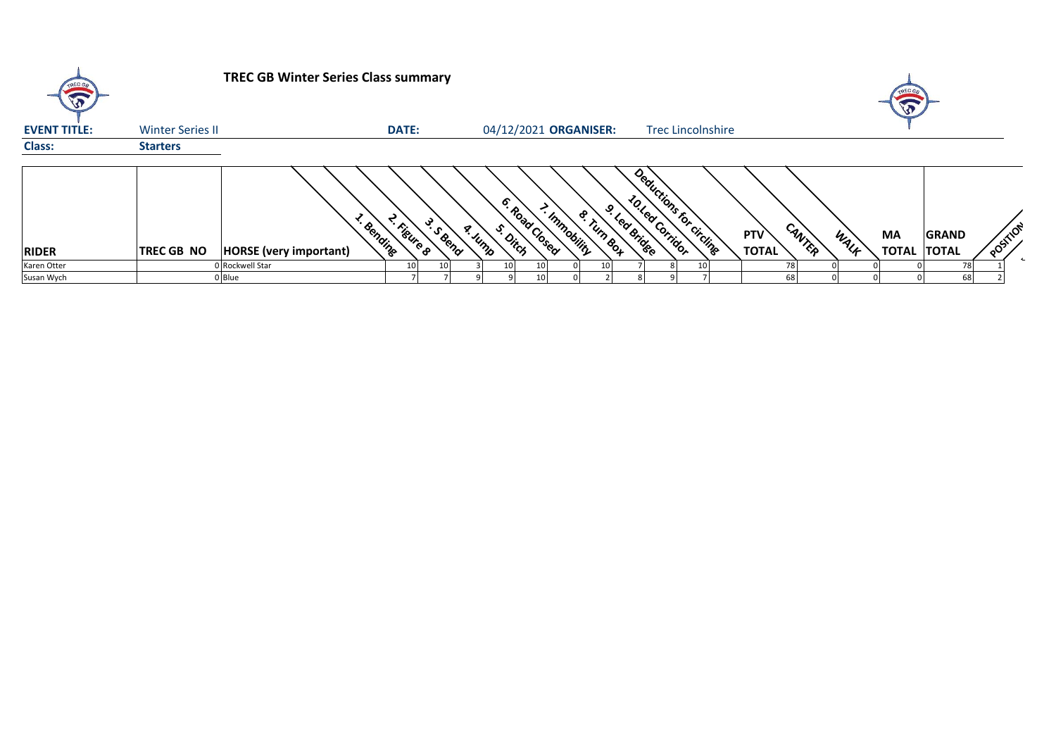| TREC OF             |                         | <b>TREC GB Winter Series Class summary</b>             |                 |          |                       |                |              |               |                                                              |  |                            |        |      |                          |              |          |  |
|---------------------|-------------------------|--------------------------------------------------------|-----------------|----------|-----------------------|----------------|--------------|---------------|--------------------------------------------------------------|--|----------------------------|--------|------|--------------------------|--------------|----------|--|
| <b>EVENT TITLE:</b> | <b>Winter Series II</b> |                                                        | <b>DATE:</b>    |          | 04/12/2021 ORGANISER: |                |              |               | <b>Trec Lincolnshire</b>                                     |  |                            |        |      |                          |              |          |  |
| <b>Class:</b>       | <b>Starters</b>         |                                                        |                 |          |                       |                |              |               |                                                              |  |                            |        |      |                          |              |          |  |
| <b>RIDER</b>        | <b>TREC GB NO</b>       | <sup>L. Bending</sup><br><b>HORSE</b> (very important) | < Figure 8      | 3. Seena | s. Dirch<br>a. Jump   | 6. Road Closed | - Immobility | ୰<br>& Turn & | Deductions for circlings<br>10. Led Corridor<br>- Led Bridge |  | <b>PTV</b><br><b>TOTAL</b> | CANTER | WALK | MA<br><b>TOTAL TOTAL</b> | <b>GRAND</b> | POSITION |  |
| Karen Otter         |                         | 0 Rockwell Star                                        | 10 <sup>1</sup> |          | 10                    | 10             |              |               |                                                              |  | 78                         |        |      |                          | 78           |          |  |
| Susan Wych          |                         | 0 Blue                                                 |                 |          |                       |                |              |               |                                                              |  | 68                         |        |      |                          | 68           |          |  |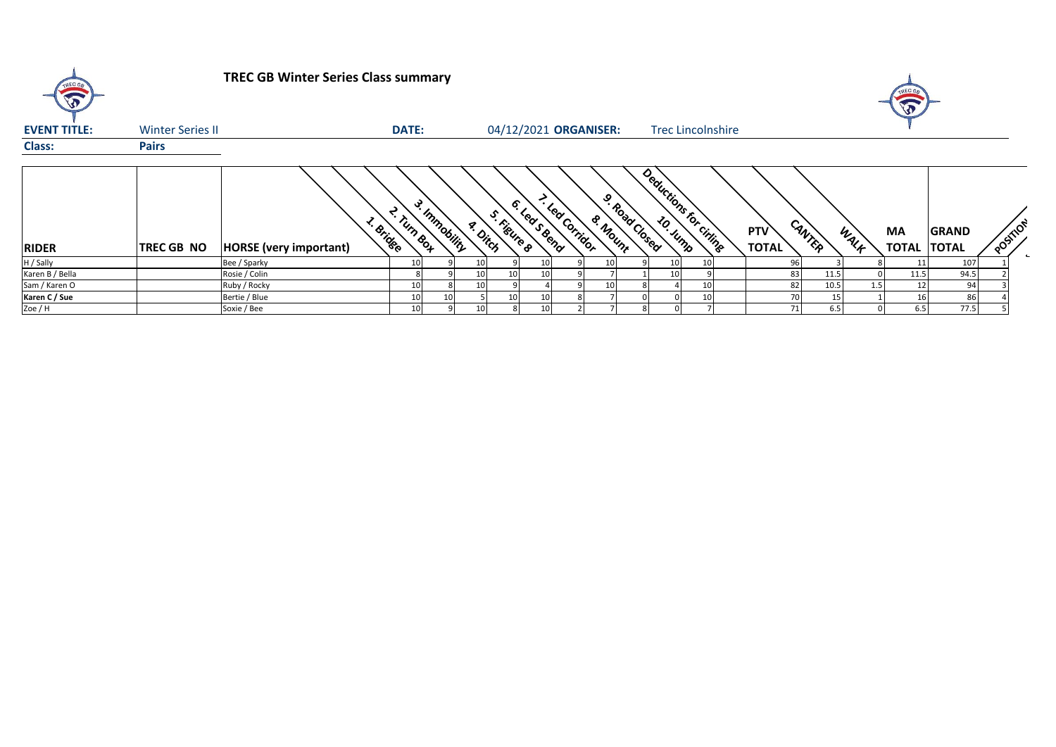| TREC GE<br>$\sqrt{3}$ |                         | <b>TREC GB Winter Series Class summary</b> |                    |               |                 |                       |                 |                |         |               |                 |                          |                            |        |      | $\sqrt{3}$                |                              |          |  |
|-----------------------|-------------------------|--------------------------------------------|--------------------|---------------|-----------------|-----------------------|-----------------|----------------|---------|---------------|-----------------|--------------------------|----------------------------|--------|------|---------------------------|------------------------------|----------|--|
| <b>EVENT TITLE:</b>   | <b>Winter Series II</b> |                                            | <b>DATE:</b>       |               |                 | 04/12/2021 ORGANISER: |                 |                |         |               |                 | <b>Trec Lincolnshire</b> |                            |        |      |                           |                              |          |  |
| <b>Class:</b>         | <b>Pairs</b>            |                                            |                    |               |                 |                       |                 |                |         |               |                 |                          |                            |        |      |                           |                              |          |  |
| <b>RIDER</b>          | <b>TREC GB NO</b>       | s. Bridge<br><b>HORSE</b> (very important) | <b>E. Turn Box</b> | 3. Immobility | a. Ditch        | S. Figure &           | 6. Led S Bend   | - Lea Corrigor | & Mount | 9. Road Cosed | <b>20. Junp</b> | Deductions for critings  | <b>PTV</b><br><b>TOTAL</b> | CANTER | WALK | <b>MA</b><br><b>TOTAL</b> | <b>GRAND</b><br><b>TOTAL</b> | POSITION |  |
| H / Sally             |                         | Bee / Sparky                               |                    |               | 10              |                       | 10              |                |         |               |                 | 10 <sup>1</sup>          | 96                         |        |      |                           | 107                          |          |  |
| Karen B / Bella       |                         | Rosie / Colin                              |                    |               | 10 <sup>1</sup> | 10                    | 10 <sup>1</sup> |                |         |               | 10              |                          | 83                         | 11.5   |      | 11.5                      | 94.5                         |          |  |
| Sam / Karen O         |                         | Ruby / Rocky                               |                    |               | 10 <sup>1</sup> |                       |                 |                | 10      |               |                 | 10 <sup>1</sup>          | 82                         | 10.5   |      | 12                        | 94                           |          |  |
| Karen C / Sue         |                         | Bertie / Blue                              |                    |               |                 | 10                    | 10 <sup>1</sup> |                |         |               |                 | 10 <sup>1</sup>          |                            | 15     |      | 16                        | 86                           |          |  |
| Zoe / H               |                         | Soxie / Bee                                |                    |               | 10              |                       | 10              |                |         |               |                 |                          | 71                         | 6.5    |      | 6.5                       | 77.5                         |          |  |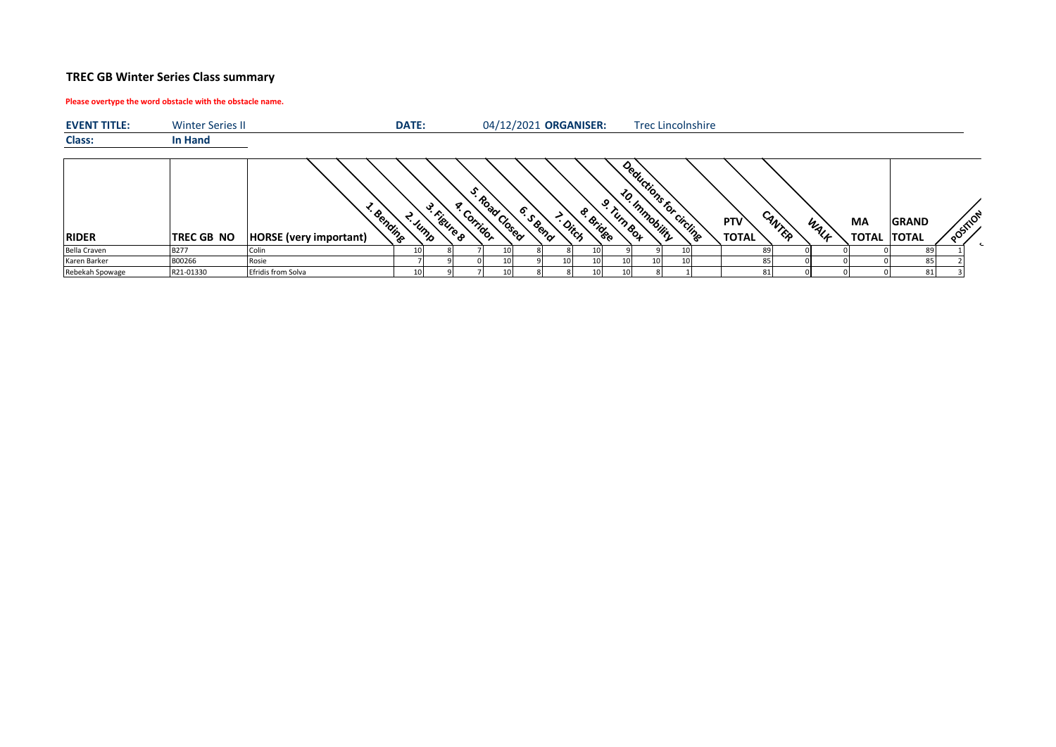## **TREC GB Winter Series Class summary**

## **Please overtype the word obstacle with the obstacle name.**

| <b>EVENT TITLE:</b> | <b>Winter Series II</b> |                                            | DATE:              |            |                 |                 |          | 04/12/2021 ORGANISER: |                 |                 |                       |    | <b>Trec Lincolnshire</b> |                                      |      |                                 |              |         |  |
|---------------------|-------------------------|--------------------------------------------|--------------------|------------|-----------------|-----------------|----------|-----------------------|-----------------|-----------------|-----------------------|----|--------------------------|--------------------------------------|------|---------------------------------|--------------|---------|--|
| <b>Class:</b>       | <b>In Hand</b>          |                                            |                    |            |                 |                 |          |                       |                 |                 |                       |    |                          |                                      |      |                                 |              |         |  |
| <b>RIDER</b>        | <b>TREC GB NO</b>       | · Bending<br><b>HORSE</b> (very important) | <sup>-- Jump</sup> | - Figure 8 | ক<br>" Corrigor | + Road Closed   | - S Beno | · Ditch               | 8. Bridee       | Turn Box        | Deductions to cicling |    |                          | CANTER<br><b>PTV</b><br><b>TOTAL</b> | WALF | <b>MA</b><br><b>TOTAL TOTAL</b> | <b>GRAND</b> | POSTION |  |
| Bella Craven        | <b>B277</b>             | Colin                                      | 10                 |            |                 | 10              |          |                       | 10              |                 |                       | 10 |                          | 89                                   |      |                                 | -89          |         |  |
| Karen Barker        | B00266                  | Rosie                                      |                    |            |                 | 10              |          |                       | 10              | 10              |                       | 10 |                          | 85                                   |      |                                 | 85           |         |  |
| Rebekah Spowage     | R21-01330               | <b>Efridis from Solva</b>                  | 10 <sup>1</sup>    |            |                 | 10 <sup>1</sup> |          |                       | 10 <sup>1</sup> | 10 <sup>1</sup> |                       |    |                          | 81                                   |      |                                 | 81           |         |  |